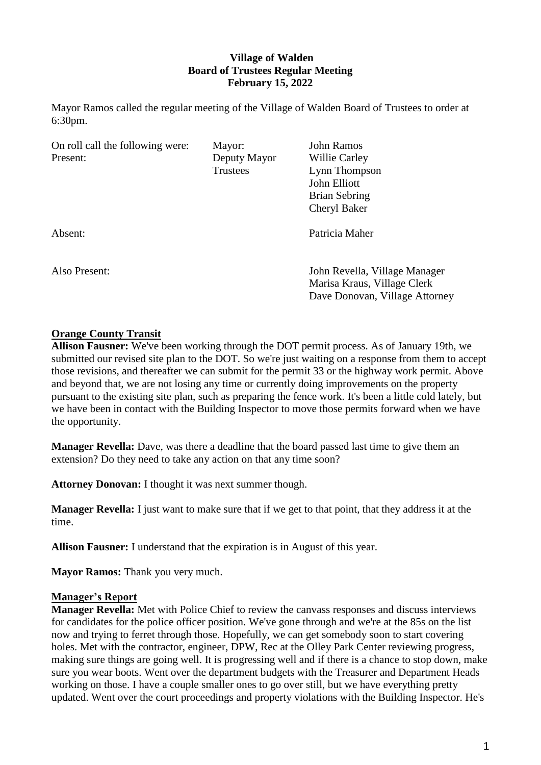## **Village of Walden Board of Trustees Regular Meeting February 15, 2022**

Mayor Ramos called the regular meeting of the Village of Walden Board of Trustees to order at 6:30pm.

| On roll call the following were: | Mayor:       | <b>John Ramos</b>                                            |
|----------------------------------|--------------|--------------------------------------------------------------|
| Present:                         | Deputy Mayor | Willie Carley                                                |
|                                  | Trustees     | Lynn Thompson                                                |
|                                  |              | John Elliott                                                 |
|                                  |              | Brian Sebring                                                |
|                                  |              | Cheryl Baker                                                 |
| Absent:                          |              | Patricia Maher                                               |
| Also Present:                    |              | John Revella, Village Manager<br>Marisa Kraus, Village Clerk |
|                                  |              | Dave Donovan, Village Attorney                               |

### **Orange County Transit**

**Allison Fausner:** We've been working through the DOT permit process. As of January 19th, we submitted our revised site plan to the DOT. So we're just waiting on a response from them to accept those revisions, and thereafter we can submit for the permit 33 or the highway work permit. Above and beyond that, we are not losing any time or currently doing improvements on the property pursuant to the existing site plan, such as preparing the fence work. It's been a little cold lately, but we have been in contact with the Building Inspector to move those permits forward when we have the opportunity.

**Manager Revella:** Dave, was there a deadline that the board passed last time to give them an extension? Do they need to take any action on that any time soon?

**Attorney Donovan:** I thought it was next summer though.

**Manager Revella:** I just want to make sure that if we get to that point, that they address it at the time.

**Allison Fausner:** I understand that the expiration is in August of this year.

**Mayor Ramos:** Thank you very much.

### **Manager's Report**

**Manager Revella:** Met with Police Chief to review the canvass responses and discuss interviews for candidates for the police officer position. We've gone through and we're at the 85s on the list now and trying to ferret through those. Hopefully, we can get somebody soon to start covering holes. Met with the contractor, engineer, DPW, Rec at the Olley Park Center reviewing progress, making sure things are going well. It is progressing well and if there is a chance to stop down, make sure you wear boots. Went over the department budgets with the Treasurer and Department Heads working on those. I have a couple smaller ones to go over still, but we have everything pretty updated. Went over the court proceedings and property violations with the Building Inspector. He's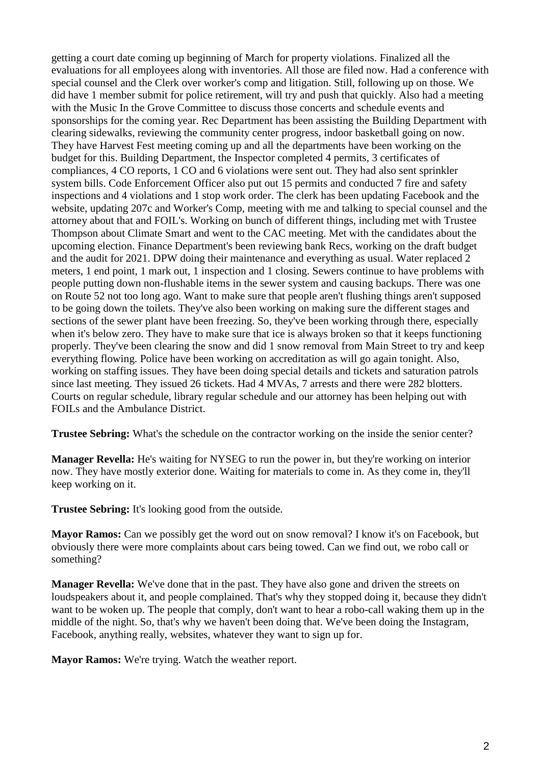getting a court date coming up beginning of March for property violations. Finalized all the evaluations for all employees along with inventories. All those are filed now. Had a conference with special counsel and the Clerk over worker's comp and litigation. Still, following up on those. We did have 1 member submit for police retirement, will try and push that quickly. Also had a meeting with the Music In the Grove Committee to discuss those concerts and schedule events and sponsorships for the coming year. Rec Department has been assisting the Building Department with clearing sidewalks, reviewing the community center progress, indoor basketball going on now. They have Harvest Fest meeting coming up and all the departments have been working on the budget for this. Building Department, the Inspector completed 4 permits, 3 certificates of compliances, 4 CO reports, 1 CO and 6 violations were sent out. They had also sent sprinkler system bills. Code Enforcement Officer also put out 15 permits and conducted 7 fire and safety inspections and 4 violations and 1 stop work order. The clerk has been updating Facebook and the website, updating 207c and Worker's Comp, meeting with me and talking to special counsel and the attorney about that and FOIL's. Working on bunch of different things, including met with Trustee Thompson about Climate Smart and went to the CAC meeting. Met with the candidates about the upcoming election. Finance Department's been reviewing bank Recs, working on the draft budget and the audit for 2021. DPW doing their maintenance and everything as usual. Water replaced 2 meters, 1 end point, 1 mark out, 1 inspection and 1 closing. Sewers continue to have problems with people putting down non-flushable items in the sewer system and causing backups. There was one on Route 52 not too long ago. Want to make sure that people aren't flushing things aren't supposed to be going down the toilets. They've also been working on making sure the different stages and sections of the sewer plant have been freezing. So, they've been working through there, especially when it's below zero. They have to make sure that ice is always broken so that it keeps functioning properly. They've been clearing the snow and did 1 snow removal from Main Street to try and keep everything flowing. Police have been working on accreditation as will go again tonight. Also, working on staffing issues. They have been doing special details and tickets and saturation patrols since last meeting. They issued 26 tickets. Had 4 MVAs, 7 arrests and there were 282 blotters. Courts on regular schedule, library regular schedule and our attorney has been helping out with FOILs and the Ambulance District.

**Trustee Sebring:** What's the schedule on the contractor working on the inside the senior center?

**Manager Revella:** He's waiting for NYSEG to run the power in, but they're working on interior now. They have mostly exterior done. Waiting for materials to come in. As they come in, they'll keep working on it.

**Trustee Sebring:** It's looking good from the outside.

**Mayor Ramos:** Can we possibly get the word out on snow removal? I know it's on Facebook, but obviously there were more complaints about cars being towed. Can we find out, we robo call or something?

**Manager Revella:** We've done that in the past. They have also gone and driven the streets on loudspeakers about it, and people complained. That's why they stopped doing it, because they didn't want to be woken up. The people that comply, don't want to hear a robo-call waking them up in the middle of the night. So, that's why we haven't been doing that. We've been doing the Instagram, Facebook, anything really, websites, whatever they want to sign up for.

**Mayor Ramos:** We're trying. Watch the weather report.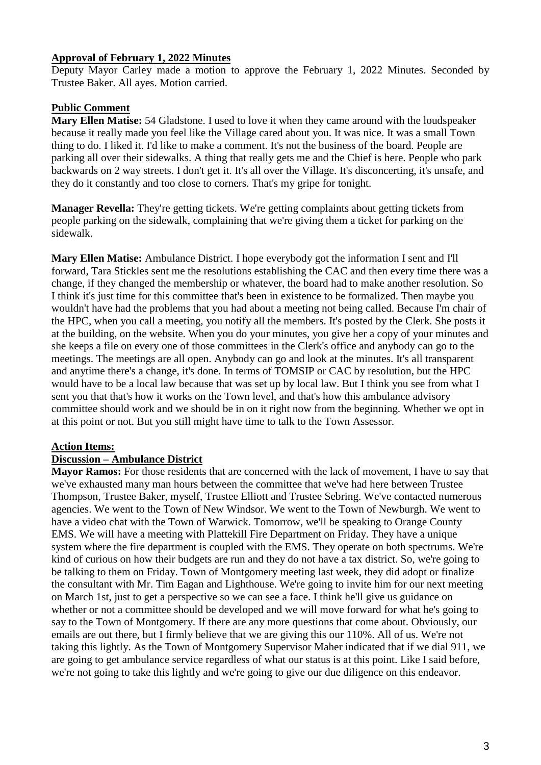### **Approval of February 1, 2022 Minutes**

Deputy Mayor Carley made a motion to approve the February 1, 2022 Minutes. Seconded by Trustee Baker. All ayes. Motion carried.

### **Public Comment**

**Mary Ellen Matise:** 54 Gladstone. I used to love it when they came around with the loudspeaker because it really made you feel like the Village cared about you. It was nice. It was a small Town thing to do. I liked it. I'd like to make a comment. It's not the business of the board. People are parking all over their sidewalks. A thing that really gets me and the Chief is here. People who park backwards on 2 way streets. I don't get it. It's all over the Village. It's disconcerting, it's unsafe, and they do it constantly and too close to corners. That's my gripe for tonight.

**Manager Revella:** They're getting tickets. We're getting complaints about getting tickets from people parking on the sidewalk, complaining that we're giving them a ticket for parking on the sidewalk.

**Mary Ellen Matise:** Ambulance District. I hope everybody got the information I sent and I'll forward, Tara Stickles sent me the resolutions establishing the CAC and then every time there was a change, if they changed the membership or whatever, the board had to make another resolution. So I think it's just time for this committee that's been in existence to be formalized. Then maybe you wouldn't have had the problems that you had about a meeting not being called. Because I'm chair of the HPC, when you call a meeting, you notify all the members. It's posted by the Clerk. She posts it at the building, on the website. When you do your minutes, you give her a copy of your minutes and she keeps a file on every one of those committees in the Clerk's office and anybody can go to the meetings. The meetings are all open. Anybody can go and look at the minutes. It's all transparent and anytime there's a change, it's done. In terms of TOMSIP or CAC by resolution, but the HPC would have to be a local law because that was set up by local law. But I think you see from what I sent you that that's how it works on the Town level, and that's how this ambulance advisory committee should work and we should be in on it right now from the beginning. Whether we opt in at this point or not. But you still might have time to talk to the Town Assessor.

## **Action Items:**

### **Discussion – Ambulance District**

**Mayor Ramos:** For those residents that are concerned with the lack of movement, I have to say that we've exhausted many man hours between the committee that we've had here between Trustee Thompson, Trustee Baker, myself, Trustee Elliott and Trustee Sebring. We've contacted numerous agencies. We went to the Town of New Windsor. We went to the Town of Newburgh. We went to have a video chat with the Town of Warwick. Tomorrow, we'll be speaking to Orange County EMS. We will have a meeting with Plattekill Fire Department on Friday. They have a unique system where the fire department is coupled with the EMS. They operate on both spectrums. We're kind of curious on how their budgets are run and they do not have a tax district. So, we're going to be talking to them on Friday. Town of Montgomery meeting last week, they did adopt or finalize the consultant with Mr. Tim Eagan and Lighthouse. We're going to invite him for our next meeting on March 1st, just to get a perspective so we can see a face. I think he'll give us guidance on whether or not a committee should be developed and we will move forward for what he's going to say to the Town of Montgomery. If there are any more questions that come about. Obviously, our emails are out there, but I firmly believe that we are giving this our 110%. All of us. We're not taking this lightly. As the Town of Montgomery Supervisor Maher indicated that if we dial 911, we are going to get ambulance service regardless of what our status is at this point. Like I said before, we're not going to take this lightly and we're going to give our due diligence on this endeavor.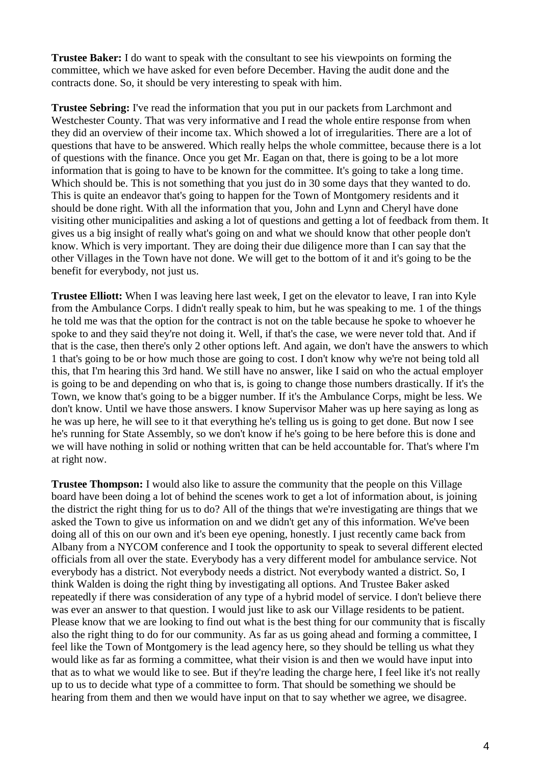**Trustee Baker:** I do want to speak with the consultant to see his viewpoints on forming the committee, which we have asked for even before December. Having the audit done and the contracts done. So, it should be very interesting to speak with him.

**Trustee Sebring:** I've read the information that you put in our packets from Larchmont and Westchester County. That was very informative and I read the whole entire response from when they did an overview of their income tax. Which showed a lot of irregularities. There are a lot of questions that have to be answered. Which really helps the whole committee, because there is a lot of questions with the finance. Once you get Mr. Eagan on that, there is going to be a lot more information that is going to have to be known for the committee. It's going to take a long time. Which should be. This is not something that you just do in 30 some days that they wanted to do. This is quite an endeavor that's going to happen for the Town of Montgomery residents and it should be done right. With all the information that you, John and Lynn and Cheryl have done visiting other municipalities and asking a lot of questions and getting a lot of feedback from them. It gives us a big insight of really what's going on and what we should know that other people don't know. Which is very important. They are doing their due diligence more than I can say that the other Villages in the Town have not done. We will get to the bottom of it and it's going to be the benefit for everybody, not just us.

**Trustee Elliott:** When I was leaving here last week, I get on the elevator to leave, I ran into Kyle from the Ambulance Corps. I didn't really speak to him, but he was speaking to me. 1 of the things he told me was that the option for the contract is not on the table because he spoke to whoever he spoke to and they said they're not doing it. Well, if that's the case, we were never told that. And if that is the case, then there's only 2 other options left. And again, we don't have the answers to which 1 that's going to be or how much those are going to cost. I don't know why we're not being told all this, that I'm hearing this 3rd hand. We still have no answer, like I said on who the actual employer is going to be and depending on who that is, is going to change those numbers drastically. If it's the Town, we know that's going to be a bigger number. If it's the Ambulance Corps, might be less. We don't know. Until we have those answers. I know Supervisor Maher was up here saying as long as he was up here, he will see to it that everything he's telling us is going to get done. But now I see he's running for State Assembly, so we don't know if he's going to be here before this is done and we will have nothing in solid or nothing written that can be held accountable for. That's where I'm at right now.

**Trustee Thompson:** I would also like to assure the community that the people on this Village board have been doing a lot of behind the scenes work to get a lot of information about, is joining the district the right thing for us to do? All of the things that we're investigating are things that we asked the Town to give us information on and we didn't get any of this information. We've been doing all of this on our own and it's been eye opening, honestly. I just recently came back from Albany from a NYCOM conference and I took the opportunity to speak to several different elected officials from all over the state. Everybody has a very different model for ambulance service. Not everybody has a district. Not everybody needs a district. Not everybody wanted a district. So, I think Walden is doing the right thing by investigating all options. And Trustee Baker asked repeatedly if there was consideration of any type of a hybrid model of service. I don't believe there was ever an answer to that question. I would just like to ask our Village residents to be patient. Please know that we are looking to find out what is the best thing for our community that is fiscally also the right thing to do for our community. As far as us going ahead and forming a committee, I feel like the Town of Montgomery is the lead agency here, so they should be telling us what they would like as far as forming a committee, what their vision is and then we would have input into that as to what we would like to see. But if they're leading the charge here, I feel like it's not really up to us to decide what type of a committee to form. That should be something we should be hearing from them and then we would have input on that to say whether we agree, we disagree.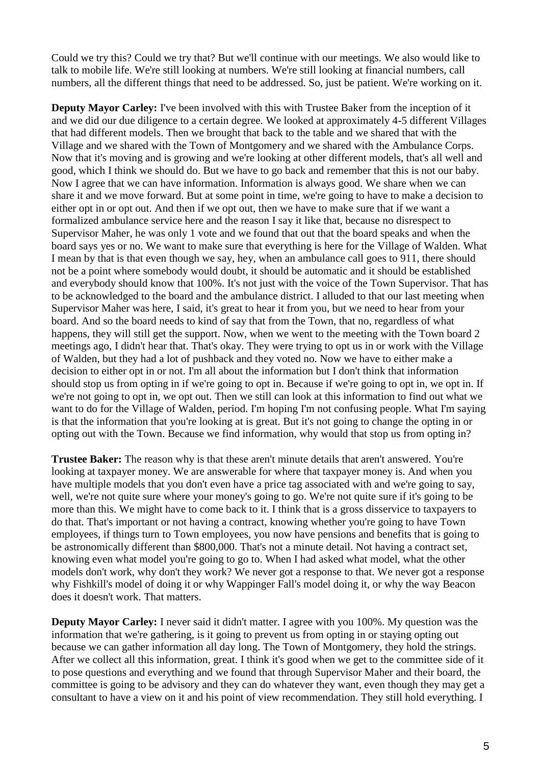Could we try this? Could we try that? But we'll continue with our meetings. We also would like to talk to mobile life. We're still looking at numbers. We're still looking at financial numbers, call numbers, all the different things that need to be addressed. So, just be patient. We're working on it.

**Deputy Mayor Carley:** I've been involved with this with Trustee Baker from the inception of it and we did our due diligence to a certain degree. We looked at approximately 4-5 different Villages that had different models. Then we brought that back to the table and we shared that with the Village and we shared with the Town of Montgomery and we shared with the Ambulance Corps. Now that it's moving and is growing and we're looking at other different models, that's all well and good, which I think we should do. But we have to go back and remember that this is not our baby. Now I agree that we can have information. Information is always good. We share when we can share it and we move forward. But at some point in time, we're going to have to make a decision to either opt in or opt out. And then if we opt out, then we have to make sure that if we want a formalized ambulance service here and the reason I say it like that, because no disrespect to Supervisor Maher, he was only 1 vote and we found that out that the board speaks and when the board says yes or no. We want to make sure that everything is here for the Village of Walden. What I mean by that is that even though we say, hey, when an ambulance call goes to 911, there should not be a point where somebody would doubt, it should be automatic and it should be established and everybody should know that 100%. It's not just with the voice of the Town Supervisor. That has to be acknowledged to the board and the ambulance district. I alluded to that our last meeting when Supervisor Maher was here, I said, it's great to hear it from you, but we need to hear from your board. And so the board needs to kind of say that from the Town, that no, regardless of what happens, they will still get the support. Now, when we went to the meeting with the Town board 2 meetings ago, I didn't hear that. That's okay. They were trying to opt us in or work with the Village of Walden, but they had a lot of pushback and they voted no. Now we have to either make a decision to either opt in or not. I'm all about the information but I don't think that information should stop us from opting in if we're going to opt in. Because if we're going to opt in, we opt in. If we're not going to opt in, we opt out. Then we still can look at this information to find out what we want to do for the Village of Walden, period. I'm hoping I'm not confusing people. What I'm saying is that the information that you're looking at is great. But it's not going to change the opting in or opting out with the Town. Because we find information, why would that stop us from opting in?

**Trustee Baker:** The reason why is that these aren't minute details that aren't answered. You're looking at taxpayer money. We are answerable for where that taxpayer money is. And when you have multiple models that you don't even have a price tag associated with and we're going to say, well, we're not quite sure where your money's going to go. We're not quite sure if it's going to be more than this. We might have to come back to it. I think that is a gross disservice to taxpayers to do that. That's important or not having a contract, knowing whether you're going to have Town employees, if things turn to Town employees, you now have pensions and benefits that is going to be astronomically different than \$800,000. That's not a minute detail. Not having a contract set, knowing even what model you're going to go to. When I had asked what model, what the other models don't work, why don't they work? We never got a response to that. We never got a response why Fishkill's model of doing it or why Wappinger Fall's model doing it, or why the way Beacon does it doesn't work. That matters.

**Deputy Mayor Carley:** I never said it didn't matter. I agree with you 100%. My question was the information that we're gathering, is it going to prevent us from opting in or staying opting out because we can gather information all day long. The Town of Montgomery, they hold the strings. After we collect all this information, great. I think it's good when we get to the committee side of it to pose questions and everything and we found that through Supervisor Maher and their board, the committee is going to be advisory and they can do whatever they want, even though they may get a consultant to have a view on it and his point of view recommendation. They still hold everything. I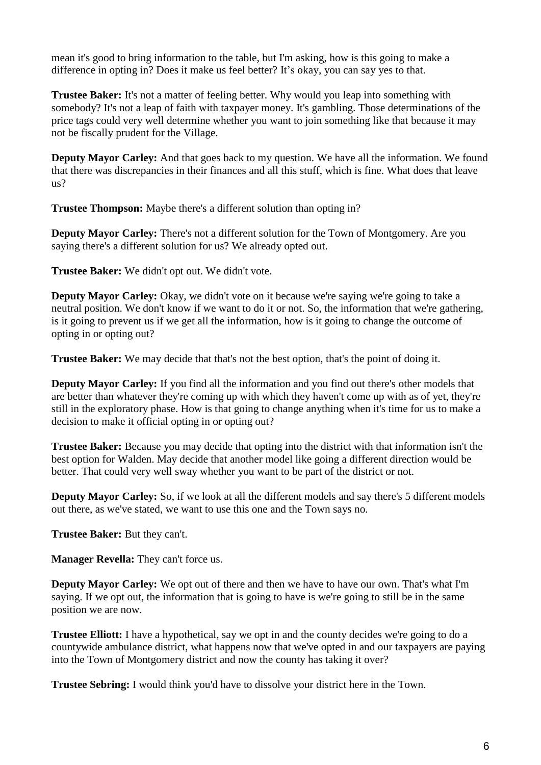mean it's good to bring information to the table, but I'm asking, how is this going to make a difference in opting in? Does it make us feel better? It's okay, you can say yes to that.

**Trustee Baker:** It's not a matter of feeling better. Why would you leap into something with somebody? It's not a leap of faith with taxpayer money. It's gambling. Those determinations of the price tags could very well determine whether you want to join something like that because it may not be fiscally prudent for the Village.

**Deputy Mayor Carley:** And that goes back to my question. We have all the information. We found that there was discrepancies in their finances and all this stuff, which is fine. What does that leave us?

**Trustee Thompson:** Maybe there's a different solution than opting in?

**Deputy Mayor Carley:** There's not a different solution for the Town of Montgomery. Are you saying there's a different solution for us? We already opted out.

**Trustee Baker:** We didn't opt out. We didn't vote.

**Deputy Mayor Carley:** Okay, we didn't vote on it because we're saying we're going to take a neutral position. We don't know if we want to do it or not. So, the information that we're gathering, is it going to prevent us if we get all the information, how is it going to change the outcome of opting in or opting out?

**Trustee Baker:** We may decide that that's not the best option, that's the point of doing it.

**Deputy Mayor Carley:** If you find all the information and you find out there's other models that are better than whatever they're coming up with which they haven't come up with as of yet, they're still in the exploratory phase. How is that going to change anything when it's time for us to make a decision to make it official opting in or opting out?

**Trustee Baker:** Because you may decide that opting into the district with that information isn't the best option for Walden. May decide that another model like going a different direction would be better. That could very well sway whether you want to be part of the district or not.

**Deputy Mayor Carley:** So, if we look at all the different models and say there's 5 different models out there, as we've stated, we want to use this one and the Town says no.

**Trustee Baker:** But they can't.

**Manager Revella:** They can't force us.

**Deputy Mayor Carley:** We opt out of there and then we have to have our own. That's what I'm saying. If we opt out, the information that is going to have is we're going to still be in the same position we are now.

**Trustee Elliott:** I have a hypothetical, say we opt in and the county decides we're going to do a countywide ambulance district, what happens now that we've opted in and our taxpayers are paying into the Town of Montgomery district and now the county has taking it over?

**Trustee Sebring:** I would think you'd have to dissolve your district here in the Town.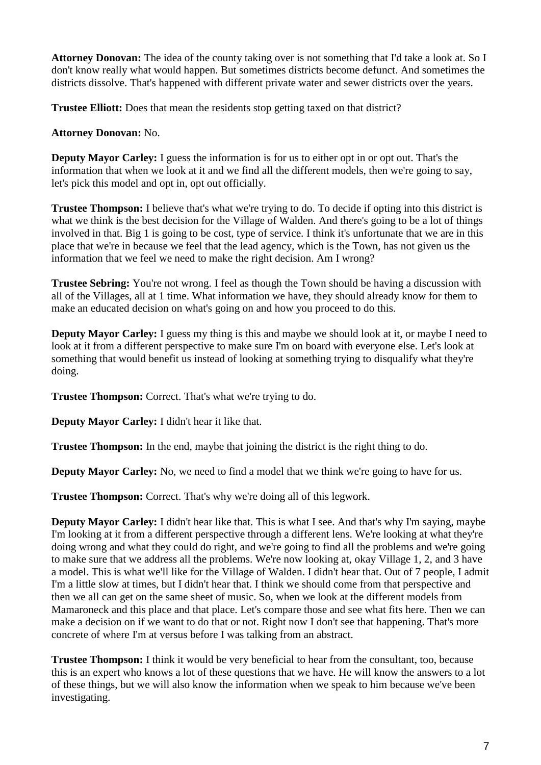**Attorney Donovan:** The idea of the county taking over is not something that I'd take a look at. So I don't know really what would happen. But sometimes districts become defunct. And sometimes the districts dissolve. That's happened with different private water and sewer districts over the years.

**Trustee Elliott:** Does that mean the residents stop getting taxed on that district?

### **Attorney Donovan:** No.

**Deputy Mayor Carley:** I guess the information is for us to either opt in or opt out. That's the information that when we look at it and we find all the different models, then we're going to say, let's pick this model and opt in, opt out officially.

**Trustee Thompson:** I believe that's what we're trying to do. To decide if opting into this district is what we think is the best decision for the Village of Walden. And there's going to be a lot of things involved in that. Big 1 is going to be cost, type of service. I think it's unfortunate that we are in this place that we're in because we feel that the lead agency, which is the Town, has not given us the information that we feel we need to make the right decision. Am I wrong?

**Trustee Sebring:** You're not wrong. I feel as though the Town should be having a discussion with all of the Villages, all at 1 time. What information we have, they should already know for them to make an educated decision on what's going on and how you proceed to do this.

**Deputy Mayor Carley:** I guess my thing is this and maybe we should look at it, or maybe I need to look at it from a different perspective to make sure I'm on board with everyone else. Let's look at something that would benefit us instead of looking at something trying to disqualify what they're doing.

**Trustee Thompson:** Correct. That's what we're trying to do.

**Deputy Mayor Carley:** I didn't hear it like that.

**Trustee Thompson:** In the end, maybe that joining the district is the right thing to do.

**Deputy Mayor Carley:** No, we need to find a model that we think we're going to have for us.

**Trustee Thompson:** Correct. That's why we're doing all of this legwork.

**Deputy Mayor Carley:** I didn't hear like that. This is what I see. And that's why I'm saying, maybe I'm looking at it from a different perspective through a different lens. We're looking at what they're doing wrong and what they could do right, and we're going to find all the problems and we're going to make sure that we address all the problems. We're now looking at, okay Village 1, 2, and 3 have a model. This is what we'll like for the Village of Walden. I didn't hear that. Out of 7 people, I admit I'm a little slow at times, but I didn't hear that. I think we should come from that perspective and then we all can get on the same sheet of music. So, when we look at the different models from Mamaroneck and this place and that place. Let's compare those and see what fits here. Then we can make a decision on if we want to do that or not. Right now I don't see that happening. That's more concrete of where I'm at versus before I was talking from an abstract.

**Trustee Thompson:** I think it would be very beneficial to hear from the consultant, too, because this is an expert who knows a lot of these questions that we have. He will know the answers to a lot of these things, but we will also know the information when we speak to him because we've been investigating.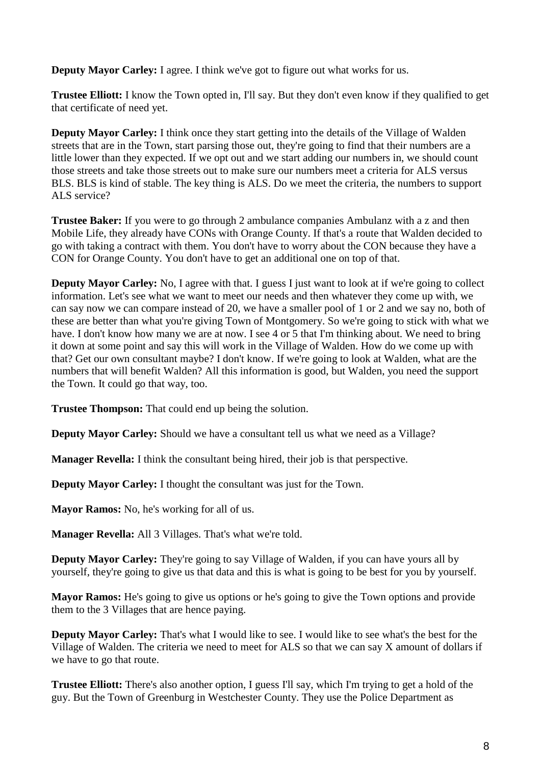**Deputy Mayor Carley:** I agree. I think we've got to figure out what works for us.

**Trustee Elliott:** I know the Town opted in, I'll say. But they don't even know if they qualified to get that certificate of need yet.

**Deputy Mayor Carley:** I think once they start getting into the details of the Village of Walden streets that are in the Town, start parsing those out, they're going to find that their numbers are a little lower than they expected. If we opt out and we start adding our numbers in, we should count those streets and take those streets out to make sure our numbers meet a criteria for ALS versus BLS. BLS is kind of stable. The key thing is ALS. Do we meet the criteria, the numbers to support ALS service?

**Trustee Baker:** If you were to go through 2 ambulance companies Ambulanz with a z and then Mobile Life, they already have CONs with Orange County. If that's a route that Walden decided to go with taking a contract with them. You don't have to worry about the CON because they have a CON for Orange County. You don't have to get an additional one on top of that.

**Deputy Mayor Carley:** No, I agree with that. I guess I just want to look at if we're going to collect information. Let's see what we want to meet our needs and then whatever they come up with, we can say now we can compare instead of 20, we have a smaller pool of 1 or 2 and we say no, both of these are better than what you're giving Town of Montgomery. So we're going to stick with what we have. I don't know how many we are at now. I see 4 or 5 that I'm thinking about. We need to bring it down at some point and say this will work in the Village of Walden. How do we come up with that? Get our own consultant maybe? I don't know. If we're going to look at Walden, what are the numbers that will benefit Walden? All this information is good, but Walden, you need the support the Town. It could go that way, too.

**Trustee Thompson:** That could end up being the solution.

**Deputy Mayor Carley:** Should we have a consultant tell us what we need as a Village?

**Manager Revella:** I think the consultant being hired, their job is that perspective.

**Deputy Mayor Carley:** I thought the consultant was just for the Town.

**Mayor Ramos:** No, he's working for all of us.

**Manager Revella:** All 3 Villages. That's what we're told.

**Deputy Mayor Carley:** They're going to say Village of Walden, if you can have yours all by yourself, they're going to give us that data and this is what is going to be best for you by yourself.

**Mayor Ramos:** He's going to give us options or he's going to give the Town options and provide them to the 3 Villages that are hence paying.

**Deputy Mayor Carley:** That's what I would like to see. I would like to see what's the best for the Village of Walden. The criteria we need to meet for ALS so that we can say X amount of dollars if we have to go that route.

**Trustee Elliott:** There's also another option, I guess I'll say, which I'm trying to get a hold of the guy. But the Town of Greenburg in Westchester County. They use the Police Department as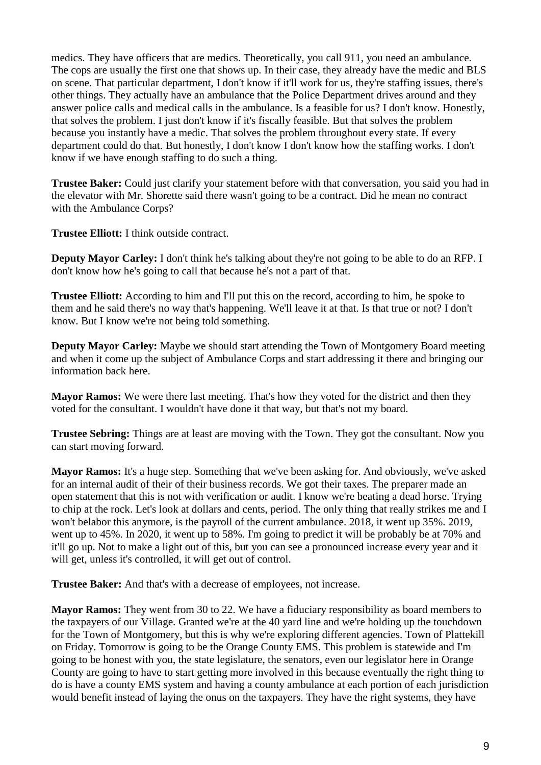medics. They have officers that are medics. Theoretically, you call 911, you need an ambulance. The cops are usually the first one that shows up. In their case, they already have the medic and BLS on scene. That particular department, I don't know if it'll work for us, they're staffing issues, there's other things. They actually have an ambulance that the Police Department drives around and they answer police calls and medical calls in the ambulance. Is a feasible for us? I don't know. Honestly, that solves the problem. I just don't know if it's fiscally feasible. But that solves the problem because you instantly have a medic. That solves the problem throughout every state. If every department could do that. But honestly, I don't know I don't know how the staffing works. I don't know if we have enough staffing to do such a thing.

**Trustee Baker:** Could just clarify your statement before with that conversation, you said you had in the elevator with Mr. Shorette said there wasn't going to be a contract. Did he mean no contract with the Ambulance Corps?

**Trustee Elliott:** I think outside contract.

**Deputy Mayor Carley:** I don't think he's talking about they're not going to be able to do an RFP. I don't know how he's going to call that because he's not a part of that.

**Trustee Elliott:** According to him and I'll put this on the record, according to him, he spoke to them and he said there's no way that's happening. We'll leave it at that. Is that true or not? I don't know. But I know we're not being told something.

**Deputy Mayor Carley:** Maybe we should start attending the Town of Montgomery Board meeting and when it come up the subject of Ambulance Corps and start addressing it there and bringing our information back here.

**Mayor Ramos:** We were there last meeting. That's how they voted for the district and then they voted for the consultant. I wouldn't have done it that way, but that's not my board.

**Trustee Sebring:** Things are at least are moving with the Town. They got the consultant. Now you can start moving forward.

**Mayor Ramos:** It's a huge step. Something that we've been asking for. And obviously, we've asked for an internal audit of their of their business records. We got their taxes. The preparer made an open statement that this is not with verification or audit. I know we're beating a dead horse. Trying to chip at the rock. Let's look at dollars and cents, period. The only thing that really strikes me and I won't belabor this anymore, is the payroll of the current ambulance. 2018, it went up 35%. 2019, went up to 45%. In 2020, it went up to 58%. I'm going to predict it will be probably be at 70% and it'll go up. Not to make a light out of this, but you can see a pronounced increase every year and it will get, unless it's controlled, it will get out of control.

**Trustee Baker:** And that's with a decrease of employees, not increase.

**Mayor Ramos:** They went from 30 to 22. We have a fiduciary responsibility as board members to the taxpayers of our Village. Granted we're at the 40 yard line and we're holding up the touchdown for the Town of Montgomery, but this is why we're exploring different agencies. Town of Plattekill on Friday. Tomorrow is going to be the Orange County EMS. This problem is statewide and I'm going to be honest with you, the state legislature, the senators, even our legislator here in Orange County are going to have to start getting more involved in this because eventually the right thing to do is have a county EMS system and having a county ambulance at each portion of each jurisdiction would benefit instead of laying the onus on the taxpayers. They have the right systems, they have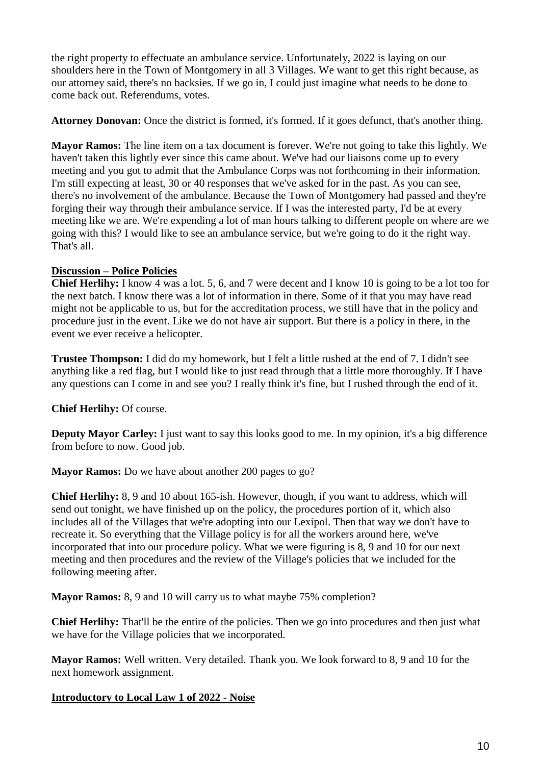the right property to effectuate an ambulance service. Unfortunately, 2022 is laying on our shoulders here in the Town of Montgomery in all 3 Villages. We want to get this right because, as our attorney said, there's no backsies. If we go in, I could just imagine what needs to be done to come back out. Referendums, votes.

**Attorney Donovan:** Once the district is formed, it's formed. If it goes defunct, that's another thing.

**Mayor Ramos:** The line item on a tax document is forever. We're not going to take this lightly. We haven't taken this lightly ever since this came about. We've had our liaisons come up to every meeting and you got to admit that the Ambulance Corps was not forthcoming in their information. I'm still expecting at least, 30 or 40 responses that we've asked for in the past. As you can see, there's no involvement of the ambulance. Because the Town of Montgomery had passed and they're forging their way through their ambulance service. If I was the interested party, I'd be at every meeting like we are. We're expending a lot of man hours talking to different people on where are we going with this? I would like to see an ambulance service, but we're going to do it the right way. That's all.

# **Discussion – Police Policies**

**Chief Herlihy:** I know 4 was a lot. 5, 6, and 7 were decent and I know 10 is going to be a lot too for the next batch. I know there was a lot of information in there. Some of it that you may have read might not be applicable to us, but for the accreditation process, we still have that in the policy and procedure just in the event. Like we do not have air support. But there is a policy in there, in the event we ever receive a helicopter.

**Trustee Thompson:** I did do my homework, but I felt a little rushed at the end of 7. I didn't see anything like a red flag, but I would like to just read through that a little more thoroughly. If I have any questions can I come in and see you? I really think it's fine, but I rushed through the end of it.

# **Chief Herlihy:** Of course.

**Deputy Mayor Carley:** I just want to say this looks good to me. In my opinion, it's a big difference from before to now. Good job.

**Mayor Ramos:** Do we have about another 200 pages to go?

**Chief Herlihy:** 8, 9 and 10 about 165-ish. However, though, if you want to address, which will send out tonight, we have finished up on the policy, the procedures portion of it, which also includes all of the Villages that we're adopting into our Lexipol. Then that way we don't have to recreate it. So everything that the Village policy is for all the workers around here, we've incorporated that into our procedure policy. What we were figuring is 8, 9 and 10 for our next meeting and then procedures and the review of the Village's policies that we included for the following meeting after.

**Mayor Ramos:** 8, 9 and 10 will carry us to what maybe 75% completion?

**Chief Herlihy:** That'll be the entire of the policies. Then we go into procedures and then just what we have for the Village policies that we incorporated.

**Mayor Ramos:** Well written. Very detailed. Thank you. We look forward to 8, 9 and 10 for the next homework assignment.

# **Introductory to Local Law 1 of 2022 - Noise**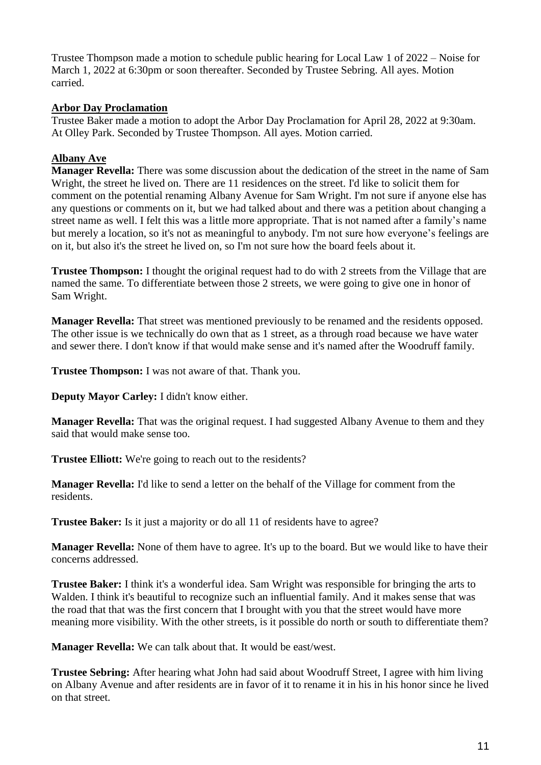Trustee Thompson made a motion to schedule public hearing for Local Law 1 of 2022 – Noise for March 1, 2022 at 6:30pm or soon thereafter. Seconded by Trustee Sebring. All ayes. Motion carried.

## **Arbor Day Proclamation**

Trustee Baker made a motion to adopt the Arbor Day Proclamation for April 28, 2022 at 9:30am. At Olley Park. Seconded by Trustee Thompson. All ayes. Motion carried.

# **Albany Ave**

**Manager Revella:** There was some discussion about the dedication of the street in the name of Sam Wright, the street he lived on. There are 11 residences on the street. I'd like to solicit them for comment on the potential renaming Albany Avenue for Sam Wright. I'm not sure if anyone else has any questions or comments on it, but we had talked about and there was a petition about changing a street name as well. I felt this was a little more appropriate. That is not named after a family's name but merely a location, so it's not as meaningful to anybody. I'm not sure how everyone's feelings are on it, but also it's the street he lived on, so I'm not sure how the board feels about it.

**Trustee Thompson:** I thought the original request had to do with 2 streets from the Village that are named the same. To differentiate between those 2 streets, we were going to give one in honor of Sam Wright.

**Manager Revella:** That street was mentioned previously to be renamed and the residents opposed. The other issue is we technically do own that as 1 street, as a through road because we have water and sewer there. I don't know if that would make sense and it's named after the Woodruff family.

**Trustee Thompson:** I was not aware of that. Thank you.

**Deputy Mayor Carley:** I didn't know either.

**Manager Revella:** That was the original request. I had suggested Albany Avenue to them and they said that would make sense too.

**Trustee Elliott:** We're going to reach out to the residents?

**Manager Revella:** I'd like to send a letter on the behalf of the Village for comment from the residents.

**Trustee Baker:** Is it just a majority or do all 11 of residents have to agree?

**Manager Revella:** None of them have to agree. It's up to the board. But we would like to have their concerns addressed.

**Trustee Baker:** I think it's a wonderful idea. Sam Wright was responsible for bringing the arts to Walden. I think it's beautiful to recognize such an influential family. And it makes sense that was the road that that was the first concern that I brought with you that the street would have more meaning more visibility. With the other streets, is it possible do north or south to differentiate them?

**Manager Revella:** We can talk about that. It would be east/west.

**Trustee Sebring:** After hearing what John had said about Woodruff Street, I agree with him living on Albany Avenue and after residents are in favor of it to rename it in his in his honor since he lived on that street.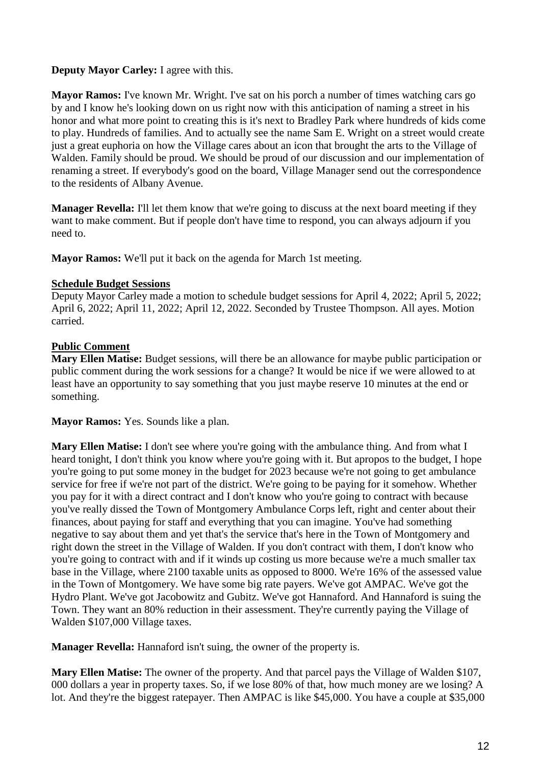# **Deputy Mayor Carley:** I agree with this.

**Mayor Ramos:** I've known Mr. Wright. I've sat on his porch a number of times watching cars go by and I know he's looking down on us right now with this anticipation of naming a street in his honor and what more point to creating this is it's next to Bradley Park where hundreds of kids come to play. Hundreds of families. And to actually see the name Sam E. Wright on a street would create just a great euphoria on how the Village cares about an icon that brought the arts to the Village of Walden. Family should be proud. We should be proud of our discussion and our implementation of renaming a street. If everybody's good on the board, Village Manager send out the correspondence to the residents of Albany Avenue.

**Manager Revella:** I'll let them know that we're going to discuss at the next board meeting if they want to make comment. But if people don't have time to respond, you can always adjourn if you need to.

**Mayor Ramos:** We'll put it back on the agenda for March 1st meeting.

## **Schedule Budget Sessions**

Deputy Mayor Carley made a motion to schedule budget sessions for April 4, 2022; April 5, 2022; April 6, 2022; April 11, 2022; April 12, 2022. Seconded by Trustee Thompson. All ayes. Motion carried.

# **Public Comment**

**Mary Ellen Matise:** Budget sessions, will there be an allowance for maybe public participation or public comment during the work sessions for a change? It would be nice if we were allowed to at least have an opportunity to say something that you just maybe reserve 10 minutes at the end or something.

**Mayor Ramos:** Yes. Sounds like a plan.

**Mary Ellen Matise:** I don't see where you're going with the ambulance thing. And from what I heard tonight, I don't think you know where you're going with it. But apropos to the budget, I hope you're going to put some money in the budget for 2023 because we're not going to get ambulance service for free if we're not part of the district. We're going to be paying for it somehow. Whether you pay for it with a direct contract and I don't know who you're going to contract with because you've really dissed the Town of Montgomery Ambulance Corps left, right and center about their finances, about paying for staff and everything that you can imagine. You've had something negative to say about them and yet that's the service that's here in the Town of Montgomery and right down the street in the Village of Walden. If you don't contract with them, I don't know who you're going to contract with and if it winds up costing us more because we're a much smaller tax base in the Village, where 2100 taxable units as opposed to 8000. We're 16% of the assessed value in the Town of Montgomery. We have some big rate payers. We've got AMPAC. We've got the Hydro Plant. We've got Jacobowitz and Gubitz. We've got Hannaford. And Hannaford is suing the Town. They want an 80% reduction in their assessment. They're currently paying the Village of Walden \$107,000 Village taxes.

**Manager Revella:** Hannaford isn't suing, the owner of the property is.

**Mary Ellen Matise:** The owner of the property. And that parcel pays the Village of Walden \$107, 000 dollars a year in property taxes. So, if we lose 80% of that, how much money are we losing? A lot. And they're the biggest ratepayer. Then AMPAC is like \$45,000. You have a couple at \$35,000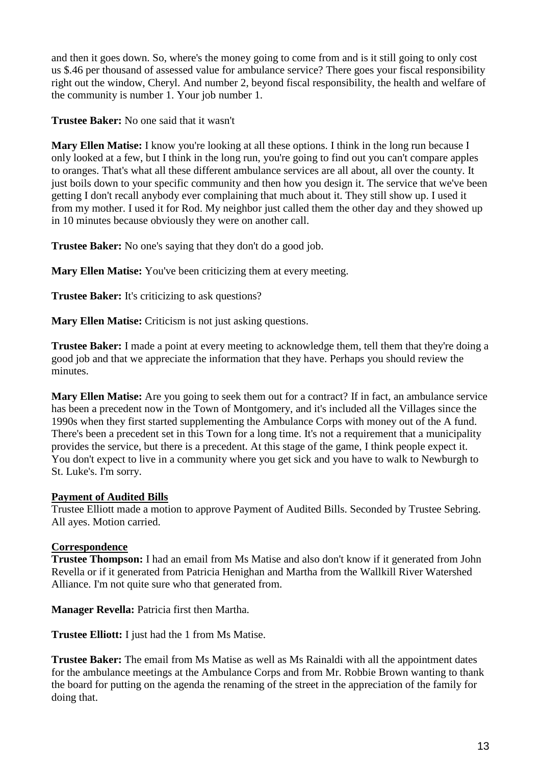and then it goes down. So, where's the money going to come from and is it still going to only cost us \$.46 per thousand of assessed value for ambulance service? There goes your fiscal responsibility right out the window, Cheryl. And number 2, beyond fiscal responsibility, the health and welfare of the community is number 1. Your job number 1.

**Trustee Baker:** No one said that it wasn't

**Mary Ellen Matise:** I know you're looking at all these options. I think in the long run because I only looked at a few, but I think in the long run, you're going to find out you can't compare apples to oranges. That's what all these different ambulance services are all about, all over the county. It just boils down to your specific community and then how you design it. The service that we've been getting I don't recall anybody ever complaining that much about it. They still show up. I used it from my mother. I used it for Rod. My neighbor just called them the other day and they showed up in 10 minutes because obviously they were on another call.

**Trustee Baker:** No one's saying that they don't do a good job.

**Mary Ellen Matise:** You've been criticizing them at every meeting.

**Trustee Baker:** It's criticizing to ask questions?

**Mary Ellen Matise:** Criticism is not just asking questions.

**Trustee Baker:** I made a point at every meeting to acknowledge them, tell them that they're doing a good job and that we appreciate the information that they have. Perhaps you should review the minutes.

**Mary Ellen Matise:** Are you going to seek them out for a contract? If in fact, an ambulance service has been a precedent now in the Town of Montgomery, and it's included all the Villages since the 1990s when they first started supplementing the Ambulance Corps with money out of the A fund. There's been a precedent set in this Town for a long time. It's not a requirement that a municipality provides the service, but there is a precedent. At this stage of the game, I think people expect it. You don't expect to live in a community where you get sick and you have to walk to Newburgh to St. Luke's. I'm sorry.

## **Payment of Audited Bills**

Trustee Elliott made a motion to approve Payment of Audited Bills. Seconded by Trustee Sebring. All ayes. Motion carried.

## **Correspondence**

**Trustee Thompson:** I had an email from Ms Matise and also don't know if it generated from John Revella or if it generated from Patricia Henighan and Martha from the Wallkill River Watershed Alliance. I'm not quite sure who that generated from.

**Manager Revella:** Patricia first then Martha.

**Trustee Elliott:** I just had the 1 from Ms Matise.

**Trustee Baker:** The email from Ms Matise as well as Ms Rainaldi with all the appointment dates for the ambulance meetings at the Ambulance Corps and from Mr. Robbie Brown wanting to thank the board for putting on the agenda the renaming of the street in the appreciation of the family for doing that.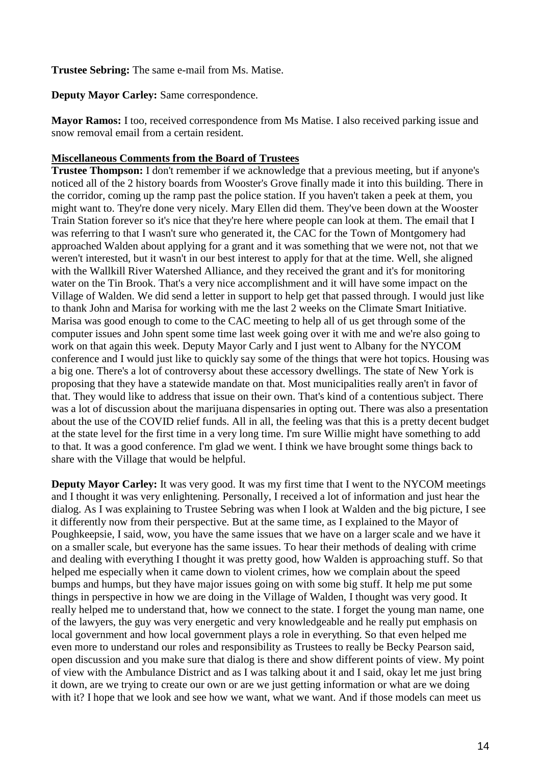**Trustee Sebring:** The same e-mail from Ms. Matise.

**Deputy Mayor Carley:** Same correspondence.

**Mayor Ramos:** I too, received correspondence from Ms Matise. I also received parking issue and snow removal email from a certain resident.

### **Miscellaneous Comments from the Board of Trustees**

**Trustee Thompson:** I don't remember if we acknowledge that a previous meeting, but if anyone's noticed all of the 2 history boards from Wooster's Grove finally made it into this building. There in the corridor, coming up the ramp past the police station. If you haven't taken a peek at them, you might want to. They're done very nicely. Mary Ellen did them. They've been down at the Wooster Train Station forever so it's nice that they're here where people can look at them. The email that I was referring to that I wasn't sure who generated it, the CAC for the Town of Montgomery had approached Walden about applying for a grant and it was something that we were not, not that we weren't interested, but it wasn't in our best interest to apply for that at the time. Well, she aligned with the Wallkill River Watershed Alliance, and they received the grant and it's for monitoring water on the Tin Brook. That's a very nice accomplishment and it will have some impact on the Village of Walden. We did send a letter in support to help get that passed through. I would just like to thank John and Marisa for working with me the last 2 weeks on the Climate Smart Initiative. Marisa was good enough to come to the CAC meeting to help all of us get through some of the computer issues and John spent some time last week going over it with me and we're also going to work on that again this week. Deputy Mayor Carly and I just went to Albany for the NYCOM conference and I would just like to quickly say some of the things that were hot topics. Housing was a big one. There's a lot of controversy about these accessory dwellings. The state of New York is proposing that they have a statewide mandate on that. Most municipalities really aren't in favor of that. They would like to address that issue on their own. That's kind of a contentious subject. There was a lot of discussion about the marijuana dispensaries in opting out. There was also a presentation about the use of the COVID relief funds. All in all, the feeling was that this is a pretty decent budget at the state level for the first time in a very long time. I'm sure Willie might have something to add to that. It was a good conference. I'm glad we went. I think we have brought some things back to share with the Village that would be helpful.

**Deputy Mayor Carley:** It was very good. It was my first time that I went to the NYCOM meetings and I thought it was very enlightening. Personally, I received a lot of information and just hear the dialog. As I was explaining to Trustee Sebring was when I look at Walden and the big picture, I see it differently now from their perspective. But at the same time, as I explained to the Mayor of Poughkeepsie, I said, wow, you have the same issues that we have on a larger scale and we have it on a smaller scale, but everyone has the same issues. To hear their methods of dealing with crime and dealing with everything I thought it was pretty good, how Walden is approaching stuff. So that helped me especially when it came down to violent crimes, how we complain about the speed bumps and humps, but they have major issues going on with some big stuff. It help me put some things in perspective in how we are doing in the Village of Walden, I thought was very good. It really helped me to understand that, how we connect to the state. I forget the young man name, one of the lawyers, the guy was very energetic and very knowledgeable and he really put emphasis on local government and how local government plays a role in everything. So that even helped me even more to understand our roles and responsibility as Trustees to really be Becky Pearson said, open discussion and you make sure that dialog is there and show different points of view. My point of view with the Ambulance District and as I was talking about it and I said, okay let me just bring it down, are we trying to create our own or are we just getting information or what are we doing with it? I hope that we look and see how we want, what we want. And if those models can meet us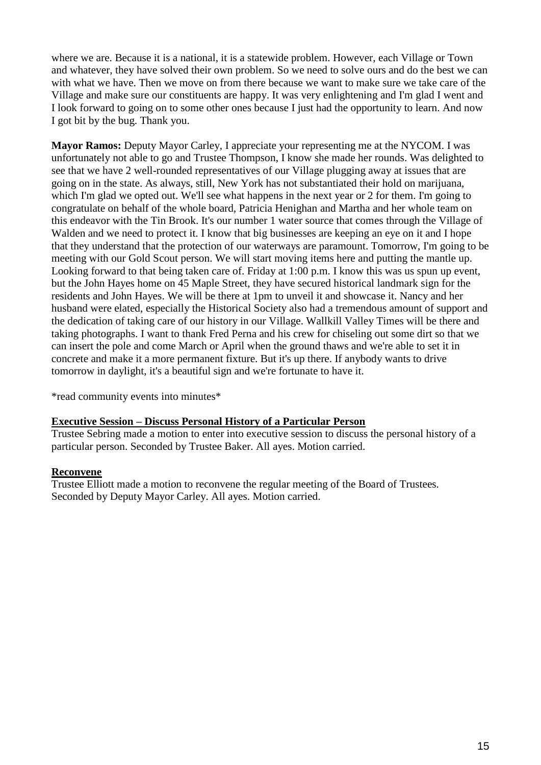where we are. Because it is a national, it is a statewide problem. However, each Village or Town and whatever, they have solved their own problem. So we need to solve ours and do the best we can with what we have. Then we move on from there because we want to make sure we take care of the Village and make sure our constituents are happy. It was very enlightening and I'm glad I went and I look forward to going on to some other ones because I just had the opportunity to learn. And now I got bit by the bug. Thank you.

**Mayor Ramos:** Deputy Mayor Carley, I appreciate your representing me at the NYCOM. I was unfortunately not able to go and Trustee Thompson, I know she made her rounds. Was delighted to see that we have 2 well-rounded representatives of our Village plugging away at issues that are going on in the state. As always, still, New York has not substantiated their hold on marijuana, which I'm glad we opted out. We'll see what happens in the next year or 2 for them. I'm going to congratulate on behalf of the whole board, Patricia Henighan and Martha and her whole team on this endeavor with the Tin Brook. It's our number 1 water source that comes through the Village of Walden and we need to protect it. I know that big businesses are keeping an eye on it and I hope that they understand that the protection of our waterways are paramount. Tomorrow, I'm going to be meeting with our Gold Scout person. We will start moving items here and putting the mantle up. Looking forward to that being taken care of. Friday at 1:00 p.m. I know this was us spun up event, but the John Hayes home on 45 Maple Street, they have secured historical landmark sign for the residents and John Hayes. We will be there at 1pm to unveil it and showcase it. Nancy and her husband were elated, especially the Historical Society also had a tremendous amount of support and the dedication of taking care of our history in our Village. Wallkill Valley Times will be there and taking photographs. I want to thank Fred Perna and his crew for chiseling out some dirt so that we can insert the pole and come March or April when the ground thaws and we're able to set it in concrete and make it a more permanent fixture. But it's up there. If anybody wants to drive tomorrow in daylight, it's a beautiful sign and we're fortunate to have it.

\*read community events into minutes\*

### **Executive Session – Discuss Personal History of a Particular Person**

Trustee Sebring made a motion to enter into executive session to discuss the personal history of a particular person. Seconded by Trustee Baker. All ayes. Motion carried.

### **Reconvene**

Trustee Elliott made a motion to reconvene the regular meeting of the Board of Trustees. Seconded by Deputy Mayor Carley. All ayes. Motion carried.